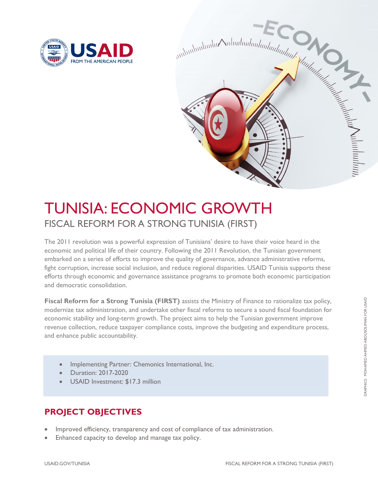



# TUNISIA: ECONOMIC GROWTH FISCAL REFORM FOR A STRONG TUNISIA (FIRST)

The 2011 revolution was a powerful expression of Tunisians' desire to have their voice heard in the economic and political life of their country. Following the 2011 Revolution, the Tunisian government embarked on a series of efforts to improve the quality of governance, advance administrative reforms, fight corruption, increase social inclusion, and reduce regional disparities. USAID Tunisia supports these efforts through economic and governance assistance programs to promote both economic participation and democratic consolidation.

**Fiscal Reform for a Strong Tunisia (FIRST)** assists the Ministry of Finance to rationalize tax policy, modernize tax administration, and undertake other fiscal reforms to secure a sound fiscal foundation for economic stability and long-term growth. The project aims to help the Tunisian government improve revenue collection, reduce taxpayer compliance costs, improve the budgeting and expenditure process, and enhance public accountability.

- Implementing Partner: Chemonics International, Inc.
- Duration: 2017-2020
- USAID Investment: \$17.3 million

## **PROJECT OBJECTIVES**

- Improved efficiency, transparency and cost of compliance of tax administration.
- Enhanced capacity to develop and manage tax policy.